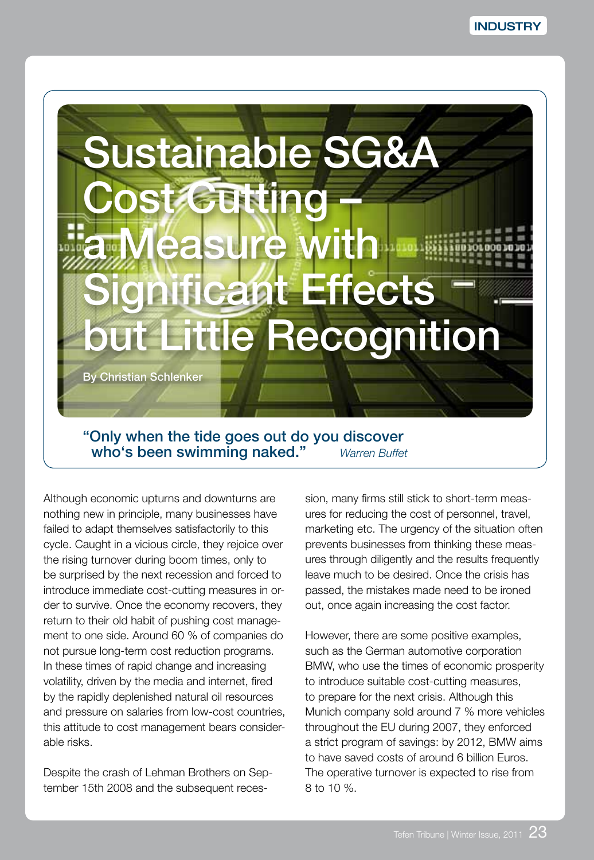

"Only when the tide goes out do you discover who's been swimming naked." *Warren Buffet*

Although economic upturns and downturns are nothing new in principle, many businesses have failed to adapt themselves satisfactorily to this cycle. Caught in a vicious circle, they rejoice over the rising turnover during boom times, only to be surprised by the next recession and forced to introduce immediate cost-cutting measures in order to survive. Once the economy recovers, they return to their old habit of pushing cost management to one side. Around 60 % of companies do not pursue long-term cost reduction programs. In these times of rapid change and increasing volatility, driven by the media and internet, fired by the rapidly deplenished natural oil resources and pressure on salaries from low-cost countries, this attitude to cost management bears considerable risks.

Despite the crash of Lehman Brothers on September 15th 2008 and the subsequent recession, many firms still stick to short-term measures for reducing the cost of personnel, travel, marketing etc. The urgency of the situation often prevents businesses from thinking these measures through diligently and the results frequently leave much to be desired. Once the crisis has passed, the mistakes made need to be ironed out, once again increasing the cost factor.

However, there are some positive examples, such as the German automotive corporation BMW, who use the times of economic prosperity to introduce suitable cost-cutting measures, to prepare for the next crisis. Although this Munich company sold around 7 % more vehicles throughout the EU during 2007, they enforced a strict program of savings: by 2012, BMW aims to have saved costs of around 6 billion Euros. The operative turnover is expected to rise from 8 to 10 %.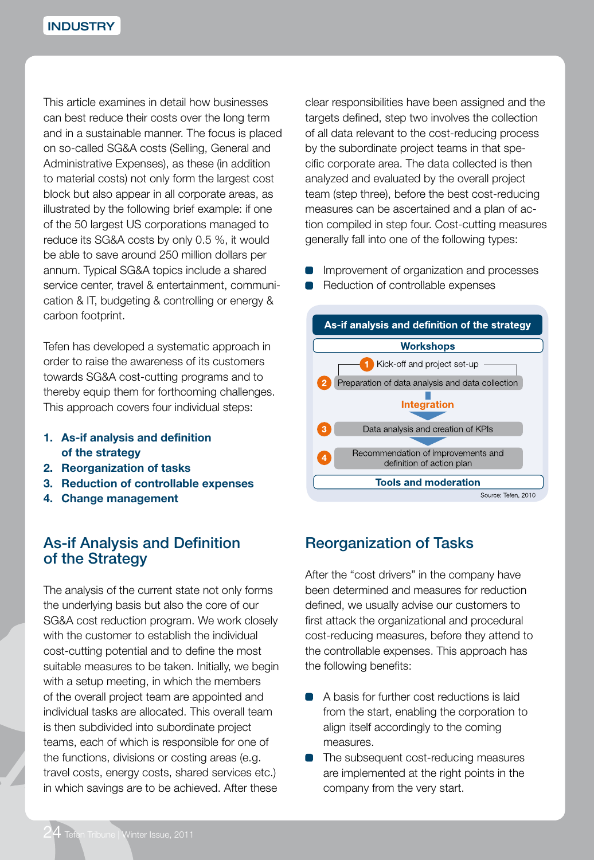This article examines in detail how businesses can best reduce their costs over the long term and in a sustainable manner. The focus is placed on so-called SG&A costs (Selling, General and Administrative Expenses), as these (in addition to material costs) not only form the largest cost block but also appear in all corporate areas, as illustrated by the following brief example: if one of the 50 largest US corporations managed to reduce its SG&A costs by only 0.5 %, it would be able to save around 250 million dollars per annum. Typical SG&A topics include a shared service center, travel & entertainment, communication & IT, budgeting & controlling or energy & carbon footprint.

Tefen has developed a systematic approach in order to raise the awareness of its customers towards SG&A cost-cutting programs and to thereby equip them for forthcoming challenges. This approach covers four individual steps:

- **1. As-if analysis and definition of the strategy**
- **2. Reorganization of tasks**
- **3. Reduction of controllable expenses**
- **4. Change management**

### As-if Analysis and Definition of the Strategy

The analysis of the current state not only forms the underlying basis but also the core of our SG&A cost reduction program. We work closely with the customer to establish the individual cost-cutting potential and to define the most suitable measures to be taken. Initially, we begin with a setup meeting, in which the members of the overall project team are appointed and individual tasks are allocated. This overall team is then subdivided into subordinate project teams, each of which is responsible for one of the functions, divisions or costing areas (e.g. travel costs, energy costs, shared services etc.) in which savings are to be achieved. After these

clear responsibilities have been assigned and the targets defined, step two involves the collection of all data relevant to the cost-reducing process by the subordinate project teams in that specific corporate area. The data collected is then analyzed and evaluated by the overall project team (step three), before the best cost-reducing measures can be ascertained and a plan of action compiled in step four. Cost-cutting measures generally fall into one of the following types:

- Improvement of organization and processes
- Reduction of controllable expenses



# Reorganization of Tasks

After the "cost drivers" in the company have been determined and measures for reduction defined, we usually advise our customers to first attack the organizational and procedural cost-reducing measures, before they attend to the controllable expenses. This approach has the following benefits:

- A basis for further cost reductions is laid from the start, enabling the corporation to align itself accordingly to the coming measures.
- The subsequent cost-reducing measures are implemented at the right points in the company from the very start.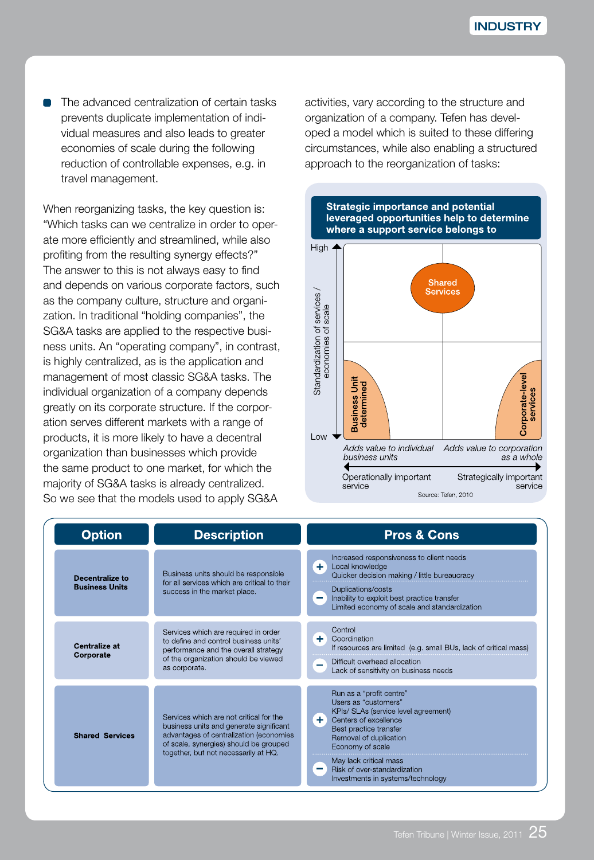The advanced centralization of certain tasks prevents duplicate implementation of individual measures and also leads to greater economies of scale during the following reduction of controllable expenses, e.g. in travel management.

When reorganizing tasks, the key question is: "Which tasks can we centralize in order to operate more efficiently and streamlined, while also profiting from the resulting synergy effects?" The answer to this is not always easy to find and depends on various corporate factors, such as the company culture, structure and organization. In traditional "holding companies", the SG&A tasks are applied to the respective business units. An "operating company", in contrast, is highly centralized, as is the application and management of most classic SG&A tasks. The individual organization of a company depends greatly on its corporate structure. If the corporation serves different markets with a range of products, it is more likely to have a decentral organization than businesses which provide the same product to one market, for which the majority of SG&A tasks is already centralized. So we see that the models used to apply SG&A

activities, vary according to the structure and organization of a company. Tefen has developed a model which is suited to these differing circumstances, while also enabling a structured approach to the reorganization of tasks:



| <b>Option</b>                            |  | <b>Description</b>                                                                                                                                                                                              | <b>Pros &amp; Cons</b>                                                                                                                                                                                                                                                                         |  |
|------------------------------------------|--|-----------------------------------------------------------------------------------------------------------------------------------------------------------------------------------------------------------------|------------------------------------------------------------------------------------------------------------------------------------------------------------------------------------------------------------------------------------------------------------------------------------------------|--|
| Decentralize to<br><b>Business Units</b> |  | Business units should be responsible<br>for all services which are critical to their<br>success in the market place.                                                                                            | Increased responsiveness to client needs<br>÷.<br>Local knowledge<br>Quicker decision making / little bureaucracy<br>Duplications/costs<br>Inability to exploit best practice transfer<br>$\overline{\phantom{a}}$<br>Limited economy of scale and standardization                             |  |
| Centralize at<br>Corporate               |  | Services which are required in order<br>to define and control business units'<br>performance and the overall strategy<br>of the organization should be viewed<br>as corporate.                                  | Control<br>÷.<br>Coordination<br>If resources are limited (e.g. small BUs, lack of critical mass)<br>Difficult overhead allocation<br>Lack of sensitivity on business needs                                                                                                                    |  |
| <b>Shared Services</b>                   |  | Services which are not critical for the<br>business units and generate significant<br>advantages of centralization (economies<br>of scale, synergies) should be grouped<br>together, but not necessarily at HQ. | Run as a "profit centre"<br>Users as "customers"<br>KPIs/ SLAs (service level agreement)<br>÷.<br>Centers of excellence<br>Best practice transfer<br>Removal of duplication<br>Economy of scale<br>May lack critical mass<br>Risk of over-standardization<br>Investments in systems/technology |  |

**Strategic importance and potential**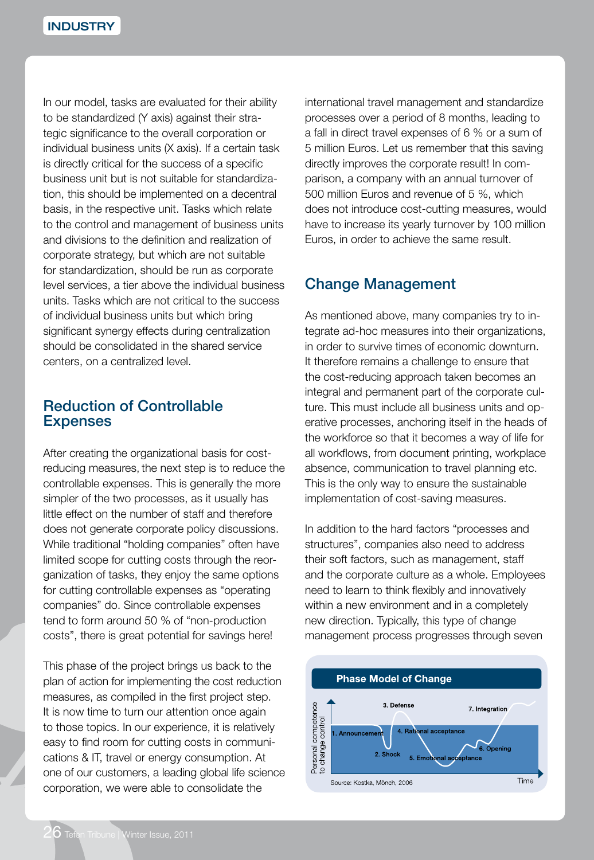In our model, tasks are evaluated for their ability to be standardized (Y axis) against their strategic significance to the overall corporation or individual business units (X axis). If a certain task is directly critical for the success of a specific business unit but is not suitable for standardization, this should be implemented on a decentral basis, in the respective unit. Tasks which relate to the control and management of business units and divisions to the definition and realization of corporate strategy, but which are not suitable for standardization, should be run as corporate level services, a tier above the individual business units. Tasks which are not critical to the success of individual business units but which bring significant synergy effects during centralization should be consolidated in the shared service centers, on a centralized level.

#### Reduction of Controllable **Expenses**

After creating the organizational basis for costreducing measures, the next step is to reduce the controllable expenses. This is generally the more simpler of the two processes, as it usually has little effect on the number of staff and therefore does not generate corporate policy discussions. While traditional "holding companies" often have limited scope for cutting costs through the reorganization of tasks, they enjoy the same options for cutting controllable expenses as "operating companies" do. Since controllable expenses tend to form around 50 % of "non-production costs", there is great potential for savings here!

This phase of the project brings us back to the plan of action for implementing the cost reduction measures, as compiled in the first project step. It is now time to turn our attention once again to those topics. In our experience, it is relatively easy to find room for cutting costs in communications & IT, travel or energy consumption. At one of our customers, a leading global life science corporation, we were able to consolidate the

international travel management and standardize processes over a period of 8 months, leading to a fall in direct travel expenses of 6 % or a sum of 5 million Euros. Let us remember that this saving directly improves the corporate result! In comparison, a company with an annual turnover of 500 million Euros and revenue of 5 %, which does not introduce cost-cutting measures, would have to increase its yearly turnover by 100 million Euros, in order to achieve the same result.

### Change Management

As mentioned above, many companies try to integrate ad-hoc measures into their organizations, in order to survive times of economic downturn. It therefore remains a challenge to ensure that the cost-reducing approach taken becomes an integral and permanent part of the corporate culture. This must include all business units and operative processes, anchoring itself in the heads of the workforce so that it becomes a way of life for all workflows, from document printing, workplace absence, communication to travel planning etc. This is the only way to ensure the sustainable implementation of cost-saving measures.

In addition to the hard factors "processes and structures", companies also need to address their soft factors, such as management, staff and the corporate culture as a whole. Employees need to learn to think flexibly and innovatively within a new environment and in a completely new direction. Typically, this type of change management process progresses through seven